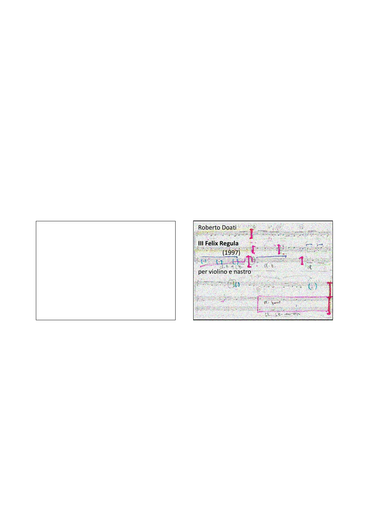

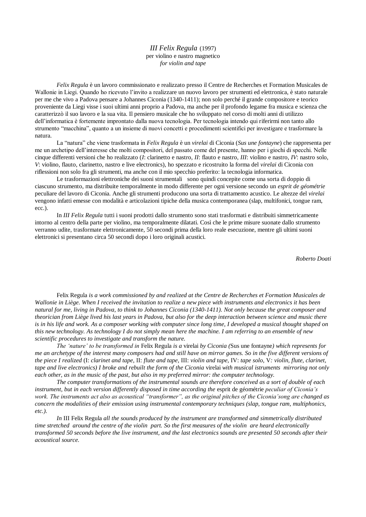*III Felix Regula* (1997) per violino e nastro magnetico *for violin and tape*

*Felix Regula* è un lavoro commissionato e realizzato presso il Centre de Recherches et Formation Musicales de Wallonie in Liegi. Quando ho ricevuto l'invito a realizzare un nuovo lavoro per strumenti ed elettronica, è stato naturale per me che vivo a Padova pensare a Johannes Ciconia (1340-1411); non solo perché il grande compositore e teorico proveniente da Liegi visse i suoi ultimi anni proprio a Padova, ma anche per il profondo legame fra musica e scienza che caratterizzò il suo lavoro e la sua vita. Il pensiero musicale che ho sviluppato nel corso di molti anni di utilizzo dell'informatica è fortemente improntato dalla nuova tecnologia. Per tecnologia intendo qui riferirmi non tanto allo strumento "macchina", quanto a un insieme di nuovi concetti e procedimenti scientifici per investigare e trasformare la natura.

La "natura" che viene trasformata in *Felix Regula* è un *virelai* di Ciconia (*Sus une fontayne*) che rappresenta per me un archetipo dell'interesse che molti compositori, del passato come del presente, hanno per i giochi di specchi. Nelle cinque differenti versioni che ho realizzato (*I*: clarinetto e nastro, *II*: flauto e nastro, *III*: violino e nastro, *IV*: nastro solo, *V*: violino, flauto, clarinetto, nastro e live electronics), ho spezzato e ricostruito la forma del *virelai* di Ciconia con riflessioni non solo fra gli strumenti, ma anche con il mio specchio preferito: la tecnologia informatica.

Le trasformazioni elettroniche dei suoni strumentali sono quindi concepite come una sorta di doppio di ciascuno strumento, ma distribuite temporalmente in modo differente per ogni versione secondo un *esprit de géométrie* peculiare del lavoro di Ciconia. Anche gli strumenti producono una sorta di trattamento acustico. Le altezze del *virelai* vengono infatti emesse con modalità e articolazioni tipiche della musica contemporanea (slap, multifonici, tongue ram, ecc.).

In *III Felix Regula* tutti i suoni prodotti dallo strumento sono stati trasformati e distribuiti simmetricamente intorno al centro della parte per violino, ma temporalmente dilatati. Così che le prime misure suonate dallo strumento verranno udite, trasformate elettronicamente, 50 secondi prima della loro reale esecuzione, mentre gli ultimi suoni elettronici si presentano circa 50 secondi dopo i loro originali acustici.

*Roberto Doati*

Felix Regula *is a work commissioned by and realized at the Centre de Recherches et Formation Musicales de Wallonie in Liège. When I received the invitation to realize a new piece with instruments and electronics it has been natural for me, living in Padova, to think to Johannes Ciconia (1340-1411). Not only because the great composer and theorician from Liège lived his last years in Padova, but also for the deep interaction between science and music there*  is in his life and work. As a composer working with computer since long time, I developed a musical thought shaped on *this new technology. As technology I do not simply mean here the machine. I am referring to an ensemble of new scientific procedures to investigate and transform the nature.*

*The "nature" to be transformed in* Felix Regula *is a* virelai *by Ciconia (*Sus une fontayne*) which represents for me an archetype of the interest many composers had and still have on mirror games. So in the five different versions of the piece I realized* (I: *clarinet and tape*, II: *flute and tape*, III: *violin and tape*, IV: *tape solo*, V*: violin, flute, clarinet, tape and live electronics) I broke and rebuilt the form of the Ciconia* virelai *with musical istruments mirroring not only each other, as in the music of the past, but also in my preferred mirror: the computer technology.*

*The computer transformations of the instrumental sounds are therefore conceived as a sort of double of each instrument, but in each version differently disposed in time according the* esprit de géométrie *peculiar of Ciconia"s work. The instruments act also as acoustical "transformer", as the original pitches of the Ciconia"song are changed as concern the modalities of their emission using instrumental contemporary techniques (slap, tongue ram, multiphonics, etc.).*

*In* III Felix Regula *all the sounds produced by the instrument are transformed and simmetrically distributed time stretched around the centre of the violin part. So the first measures of the violin are heard electronically transformed 50 seconds before the live instrument, and the last electronics sounds are presented 50 seconds after their acoustical source.*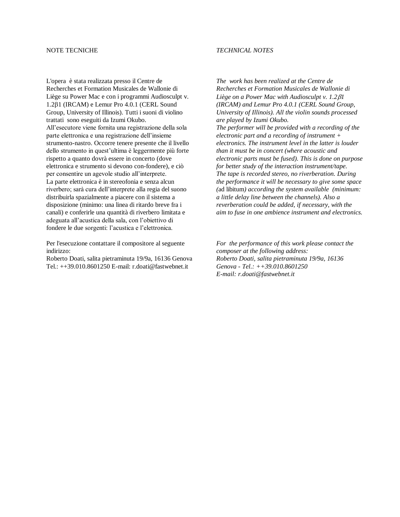### NOTE TECNICHE

L'opera è stata realizzata presso il Centre de Recherches et Formation Musicales de Wallonie di Liège su Power Mac e con i programmi Audiosculpt v. 1.21 (IRCAM) e Lemur Pro 4.0.1 (CERL Sound Group, University of Illinois). Tutti i suoni di violino trattati sono eseguiti da Izumi Okubo. All'esecutore viene fornita una registrazione della sola parte elettronica e una registrazione dell'insieme strumento-nastro. Occorre tenere presente che il livello dello strumento in quest'ultima è leggermente più forte rispetto a quanto dovrà essere in concerto (dove elettronica e strumento si devono con-fondere), e ciò per consentire un agevole studio all'interprete. La parte elettronica è in stereofonia e senza alcun riverbero; sarà cura dell'interprete alla regia del suono distribuirla spazialmente a piacere con il sistema a disposizione (minimo: una linea di ritardo breve fra i canali) e conferirle una quantità di riverbero limitata e adeguata all'acustica della sala, con l'obiettivo di fondere le due sorgenti: l'acustica e l'elettronica.

Per l'esecuzione contattare il compositore al seguente indirizzo:

Roberto Doati, salita pietraminuta 19/9a, 16136 Genova Tel.: ++39.010.8601250 E-mail: r.doati@fastwebnet.it

### *TECHNICAL NOTES*

*The work has been realized at the Centre de Recherches et Formation Musicales de Wallonie di Liège on a Power Mac with Audiosculpt v. 1.2* $\beta$ *1 (IRCAM) and Lemur Pro 4.0.1 (CERL Sound Group, University of Illinois). All the violin sounds processed are played by Izumi Okubo. The performer will be provided with a recording of the electronic part and a recording of instrument + electronics. The instrument level in the latter is louder than it must be in concert (where acoustic and electronic parts must be fused). This is done on purpose for better study of the interaction instrument/tape. The tape is recorded stereo, no riverberation. During the performance it will be necessary to give some space (*ad libitum*) according the system available (minimum: a little delay line between the channels). Also a reverberation could be added, if necessary, with the aim to fuse in one ambience instrument and electronics.*

*For the performance of this work please contact the composer at the following address: Roberto Doati, salita pietraminuta 19/9a, 16136 Genova - Tel.: ++39.010.8601250 E-mail: r.doati@fastwebnet.it*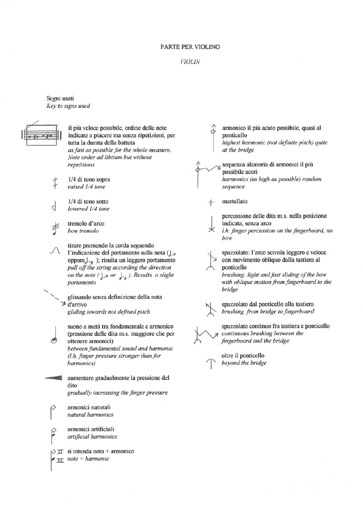#### PARTE PER VIOLINO

#### **VIOLIN**

Segni usati Key to signs used



d

il più veloce possibile, ordine delle note indicate a piacere ma senza ripetizioni, per tutta la durata della battuta as fast as possible for the whole measure. Note order ad libitum but without repetitions

1/4 di tono sopra raised 1/4 tone

1/4 di tono sotto lowered 1/4 tone

tremolo d'arco bow tremolo

tirare premendo la corda seguendo l'indicazione del portamento sulla nota  $\bigcup_{\mathcal{F}}$ oppure  $\bigcup_{j=1}^{\infty}$  ); risulta un leggero portamento pull off the string according the direction on the note ( $\sqrt{2}$  or  $\sqrt{3}$ ). Results a slight portamento

glissando senza definizione della nota  $\geq d'$ arrivo gliding towards not defined pitch

suono a metà tra fondamentale e armonico (pressione delle dita m.s. maggiore che per ottenere armonici)

between fundamental sound and harmonic (l.h. finger pressure stronger than for harmonics)

aumentare gradualmente la pressione del dito gradually increasing the finger pressure

armonici naturali natural harmonics

armonici artificiali artificial harmonics

 $\Diamond \pi$  si intenda nota + armonico  $\sqrt{m}$  note + harmonic

armonico il più acuto possibile, quasi al ponticello highest harmonic (not definite pitch) quite at the bridge

sequenza aleatoria di armonici il più possibile acuti harmonics (as high as possible) random sequence

martellato

bridge

percussione delle dita m.s. nella posizione indicata, senza arco

l.h. finger percussion on the fingerboard, no bow

spazzolato: l'arco scivola leggero e veloce con movimento obliquo dalla tastiera al

ponticello brushing: light and fast sliding of the bow with oblique motion from fingerboard to the

spazzolato dal ponticello alla tastiera

brushing from bridge to fingerboard

spazzolato continuo fra tastiera e ponticello continuous brushing between the fingerboard and the bridge

oltre il ponticello beyond the bridge